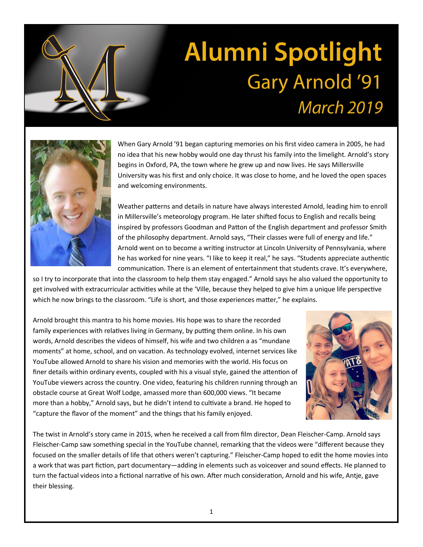

## **Alumni Spotlight Gary Arnold '91 March 2019**



When Gary Arnold '91 began capturing memories on his first video camera in 2005, he had no idea that his new hobby would one day thrust his family into the limelight. Arnold's story begins in Oxford, PA, the town where he grew up and now lives. He says Millersville University was his first and only choice. It was close to home, and he loved the open spaces and welcoming environments.

Weather patterns and details in nature have always interested Arnold, leading him to enroll in Millersville's meteorology program. He later shifted focus to English and recalls being inspired by professors Goodman and Patton of the English department and professor Smith of the philosophy department. Arnold says, "Their classes were full of energy and life." Arnold went on to become a writing instructor at Lincoln University of Pennsylvania, where he has worked for nine years. "I like to keep it real," he says. "Students appreciate authentic communication. There is an element of entertainment that students crave. It's everywhere,

so I try to incorporate that into the classroom to help them stay engaged." Arnold says he also valued the opportunity to get involved with extracurricular activities while at the 'Ville, because they helped to give him a unique life perspective which he now brings to the classroom. "Life is short, and those experiences matter," he explains.

Arnold brought this mantra to his home movies. His hope was to share the recorded family experiences with relatives living in Germany, by putting them online. In his own words, Arnold describes the videos of himself, his wife and two children a as "mundane moments" at home, school, and on vacation. As technology evolved, internet services like YouTube allowed Arnold to share his vision and memories with the world. His focus on finer details within ordinary events, coupled with his a visual style, gained the attention of YouTube viewers across the country. One video, featuring his children running through an obstacle course at Great Wolf Lodge, amassed more than 600,000 views. "It became more than a hobby," Arnold says, but he didn't intend to cultivate a brand. He hoped to "capture the flavor of the moment" and the things that his family enjoyed.



The twist in Arnold's story came in 2015, when he received a call from film director, Dean Fleischer-Camp. Arnold says Fleischer-Camp saw something special in the YouTube channel, remarking that the videos were "different because they focused on the smaller details of life that others weren't capturing." Fleischer-Camp hoped to edit the home movies into a work that was part fiction, part documentary—adding in elements such as voiceover and sound effects. He planned to turn the factual videos into a fictional narrative of his own. After much consideration, Arnold and his wife, Antje, gave their blessing.